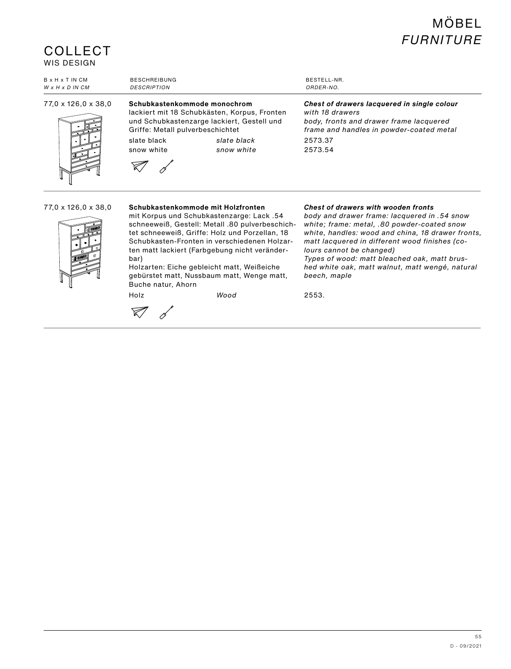## MÖBEL *FURNITURE*

### **COLLECT** WIS DESIGN

| <b>B</b> x H x T IN CM      | <b>BESCHREIBUNG</b>                                                                                                                                                                                                      | BESTELL-NR.                                                                                                                                                                 |
|-----------------------------|--------------------------------------------------------------------------------------------------------------------------------------------------------------------------------------------------------------------------|-----------------------------------------------------------------------------------------------------------------------------------------------------------------------------|
| $W \times H \times D$ IN CM | <b>DESCRIPTION</b>                                                                                                                                                                                                       | ORDER-NO.                                                                                                                                                                   |
| 77.0 x 126.0 x 38.0         | Schubkastenkommode monochrom<br>lackiert mit 18 Schubkästen, Korpus, Fronten<br>und Schubkastenzarge lackiert, Gestell und<br>Griffe: Metall pulverbeschichtet<br>slate black<br>slate black<br>snow white<br>snow white | Chest of drawers lacquered in single colour<br>with 18 drawers<br>body, fronts and drawer frame lacquered<br>frame and handles in powder-coated metal<br>2573.37<br>2573.54 |

#### 77,0 x 126,0 x 38,0 **Schubkastenkommode mit Holzfronten**



mit Korpus und Schubkastenzarge: Lack .54 schneeweiß, Gestell: Metall .80 pulverbeschichtet schneeweiß, Griffe: Holz und Porzellan, 18 Schubkasten-Fronten in verschiedenen Holzarten matt lackiert (Farbgebung nicht veränder-

bar) Holzarten: Eiche gebleicht matt, Weißeiche gebürstet matt, Nussbaum matt, Wenge matt, Buche natur, Ahorn

 $\nabla d$ 

*Chest of drawers with wooden fronts*

*body and drawer frame: lacquered in .54 snow white; frame: metal, .80 powder-coated snow white, handles: wood and china, 18 drawer fronts, matt lacquered in different wood finishes (colours cannot be changed) Types of wood: matt bleached oak, matt brushed white oak, matt walnut, matt wengé, natural beech, maple*

Holz *Wood* 2553.